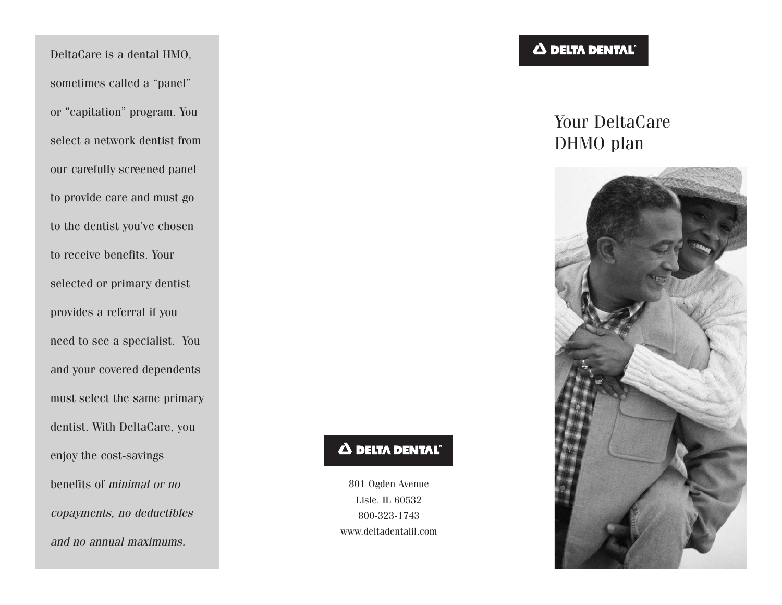DeltaCare is a dental HMO, sometimes called a "panel" or "capitation" program. You select a network dentist from our carefully screened panel to provide care and must go to the dentist you've chosen to receive benefits. Your selected or primary dentist provides a referral if you need to see a specialist. You and your covered dependents must select the same primary dentist. With DeltaCare, you enjoy the cost-savings benefits of *minimal or no copayments, no deductibles and no annual maximums.*

# **A DELTA DENTAL**®

Your DeltaCare DHMO plan



# **A DELTA DENTAL**

801 Ogden Avenue Lisle, IL 60532 800-323-1743 www.deltadentalil.com